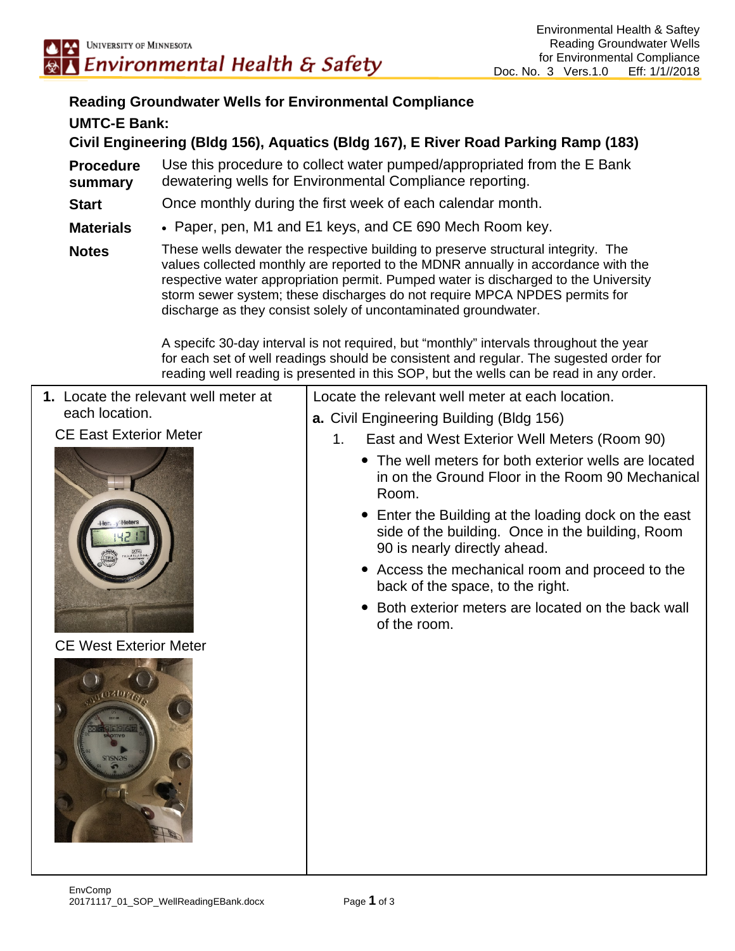## **Reading Groundwater Wells for Environmental Compliance UMTC-E Bank:**

**Civil Engineering (Bldg 156), Aquatics (Bldg 167), E River Road Parking Ramp (183)** 

**Procedure summary**  Use this procedure to collect water pumped/appropriated from the E Bank dewatering wells for Environmental Compliance reporting.

**Start** Once monthly during the first week of each calendar month.

**Materials** • Paper, pen, M1 and E1 keys, and CE 690 Mech Room key.

**Notes** These wells dewater the respective building to preserve structural integrity. The values collected monthly are reported to the MDNR annually in accordance with the respective water appropriation permit. Pumped water is discharged to the University storm sewer system; these discharges do not require MPCA NPDES permits for discharge as they consist solely of uncontaminated groundwater.

> A specifc 30-day interval is not required, but "monthly" intervals throughout the year for each set of well readings should be consistent and regular. The sugested order for reading well reading is presented in this SOP, but the wells can be read in any order.

| 1. Locate the relevant well meter at | Locate the relevant well meter at each location.                                                                                         |  |  |
|--------------------------------------|------------------------------------------------------------------------------------------------------------------------------------------|--|--|
| each location.                       | a. Civil Engineering Building (Bldg 156)                                                                                                 |  |  |
| <b>CE East Exterior Meter</b>        | East and West Exterior Well Meters (Room 90)<br>1.                                                                                       |  |  |
|                                      | • The well meters for both exterior wells are located<br>in on the Ground Floor in the Room 90 Mechanical<br>Room.                       |  |  |
|                                      | • Enter the Building at the loading dock on the east<br>side of the building. Once in the building, Room<br>90 is nearly directly ahead. |  |  |
|                                      | • Access the mechanical room and proceed to the<br>back of the space, to the right.                                                      |  |  |
|                                      | Both exterior meters are located on the back wall<br>$\bullet$<br>of the room.                                                           |  |  |
| <b>CE West Exterior Meter</b>        |                                                                                                                                          |  |  |
| aztor faze                           |                                                                                                                                          |  |  |
|                                      |                                                                                                                                          |  |  |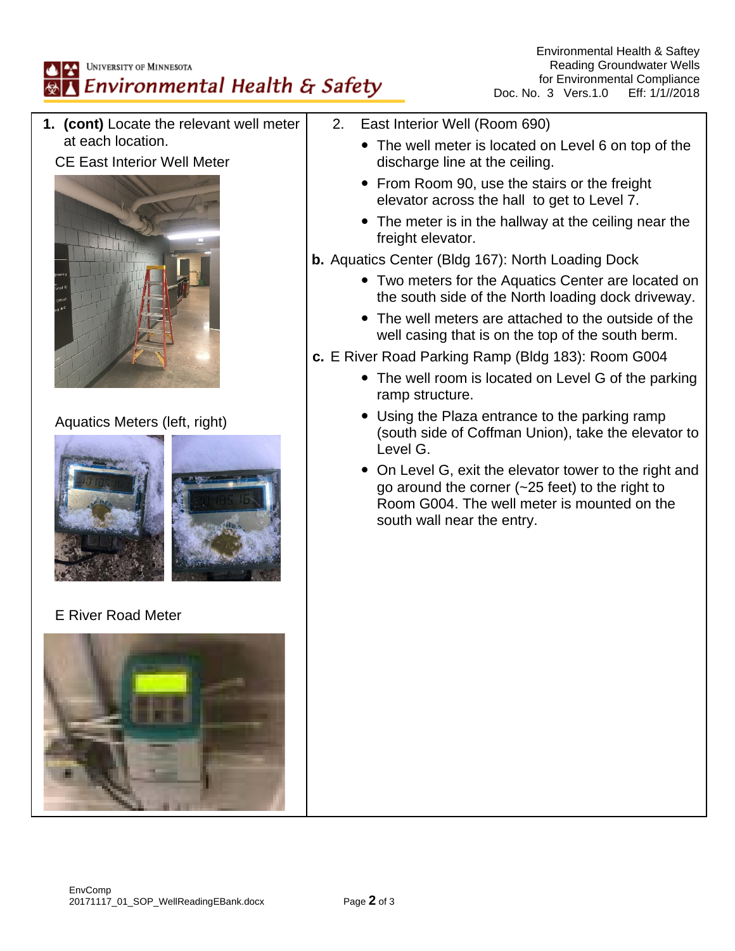## UNIVERSITY OF MINNESOTA Environmental Health & Safety

**1. (cont)** Locate the relevant well meter at each location. CE East Interior Well Meter Aquatics Meters (left, right) E River Road Meter 2. East Interior Well (Room 690) The well meter is located on Level 6 on top of the discharge line at the ceiling. • From Room 90, use the stairs or the freight elevator across the hall to get to Level 7. • The meter is in the hallway at the ceiling near the freight elevator. **b.** Aquatics Center (Bldg 167): North Loading Dock Two meters for the Aquatics Center are located on the south side of the North loading dock driveway. The well meters are attached to the outside of the well casing that is on the top of the south berm. **c.** E River Road Parking Ramp (Bldg 183): Room G004 • The well room is located on Level G of the parking ramp structure. Using the Plaza entrance to the parking ramp (south side of Coffman Union), take the elevator to Level G. On Level G, exit the elevator tower to the right and go around the corner (~25 feet) to the right to Room G004. The well meter is mounted on the south wall near the entry.